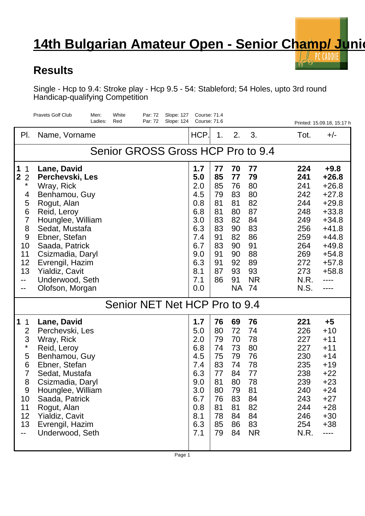## **14th Bulgarian Amateur Open - Senior Champ/ Junion** PC CADDIE

 $\epsilon$ 

## **Results**

Single - Hcp to 9.4: Stroke play - Hcp 9.5 - 54: Stableford; 54 Holes, upto 3rd round Handicap-qualifying Competition

|                                                                                                                         | <b>Pravets Golf Club</b><br>White<br>Par: 72<br>Men:<br>Slope: 127<br>Red<br>Par: 72<br><b>Slope: 124</b><br>Ladies:                                                                                                                                                 |                                                                                                       | <b>Course: 71.4</b><br>Course: 71.6                                              |                                                                                               |                                                                                               |                                                                                                         | Printed: 15.09.18, 15:17 h                                                                                                                         |  |  |  |  |  |
|-------------------------------------------------------------------------------------------------------------------------|----------------------------------------------------------------------------------------------------------------------------------------------------------------------------------------------------------------------------------------------------------------------|-------------------------------------------------------------------------------------------------------|----------------------------------------------------------------------------------|-----------------------------------------------------------------------------------------------|-----------------------------------------------------------------------------------------------|---------------------------------------------------------------------------------------------------------|----------------------------------------------------------------------------------------------------------------------------------------------------|--|--|--|--|--|
| PI.                                                                                                                     | Name, Vorname                                                                                                                                                                                                                                                        | HCP.                                                                                                  | 1.                                                                               | 2.                                                                                            | 3.                                                                                            | Tot.                                                                                                    | $+/-$                                                                                                                                              |  |  |  |  |  |
| Senior GROSS Gross HCP Pro to 9.4                                                                                       |                                                                                                                                                                                                                                                                      |                                                                                                       |                                                                                  |                                                                                               |                                                                                               |                                                                                                         |                                                                                                                                                    |  |  |  |  |  |
| 1<br>1<br>$\overline{2}$<br>$\overline{2}$<br>$\star$<br>4<br>5<br>6<br>7<br>8<br>9<br>10<br>11<br>12<br>13<br>--<br>-- | Lane, David<br>Perchevski, Les<br>Wray, Rick<br>Benhamou, Guy<br>Rogut, Alan<br>Reid, Leroy<br>Hounglee, William<br>Sedat, Mustafa<br>Ebner, Stefan<br>Saada, Patrick<br>Csizmadia, Daryl<br>Evrengil, Hazim<br>Yialdiz, Cavit<br>Underwood, Seth<br>Olofson, Morgan | 1.7<br>5.0<br>2.0<br>4.5<br>0.8<br>6.8<br>3.0<br>6.3<br>7.4<br>6.7<br>9.0<br>6.3<br>8.1<br>7.1<br>0.0 | 77<br>85<br>85<br>79<br>81<br>81<br>83<br>83<br>91<br>83<br>91<br>91<br>87<br>86 | 70<br>77<br>76<br>83<br>81<br>80<br>82<br>90<br>82<br>90<br>90<br>92<br>93<br>91<br><b>NA</b> | 77<br>79<br>80<br>80<br>82<br>87<br>84<br>83<br>86<br>91<br>88<br>89<br>93<br><b>NR</b><br>74 | 224<br>241<br>241<br>242<br>244<br>248<br>249<br>256<br>259<br>264<br>269<br>272<br>273<br>N.R.<br>N.S. | $+9.8$<br>$+26.8$<br>$+26.8$<br>$+27.8$<br>$+29.8$<br>$+33.8$<br>$+34.8$<br>$+41.8$<br>$+44.8$<br>$+49.8$<br>$+54.8$<br>$+57.8$<br>$+58.8$<br>---- |  |  |  |  |  |
| Senior NET Net HCP Pro to 9.4                                                                                           |                                                                                                                                                                                                                                                                      |                                                                                                       |                                                                                  |                                                                                               |                                                                                               |                                                                                                         |                                                                                                                                                    |  |  |  |  |  |
| $\mathbf 1$<br>1<br>$\overline{2}$<br>3<br>$\star$<br>5<br>6<br>$\overline{7}$<br>8<br>9<br>10<br>11<br>12<br>13<br>--  | Lane, David<br>Perchevski, Les<br>Wray, Rick<br>Reid, Leroy<br>Benhamou, Guy<br>Ebner, Stefan<br>Sedat, Mustafa<br>Csizmadia, Daryl<br>Hounglee, William<br>Saada, Patrick<br>Rogut, Alan<br>Yialdiz, Cavit<br>Evrengil, Hazim<br>Underwood, Seth                    | 1.7<br>5.0<br>2.0<br>6.8<br>4.5<br>7.4<br>6.3<br>9.0<br>3.0<br>6.7<br>0.8<br>8.1<br>6.3<br>7.1        | 76<br>80<br>79<br>74<br>75<br>83<br>77<br>81<br>80<br>76<br>81<br>78<br>85<br>79 | 69<br>72<br>70<br>73<br>79<br>74<br>84<br>80<br>79<br>83<br>81<br>84<br>86<br>84              | 76<br>74<br>78<br>80<br>76<br>78<br>77<br>78<br>81<br>84<br>82<br>84<br>83<br><b>NR</b>       | 221<br>226<br>227<br>227<br>230<br>235<br>238<br>239<br>240<br>243<br>244<br>246<br>254<br>N.R.         | $+5$<br>$+10$<br>$+11$<br>$+11$<br>$+14$<br>$+19$<br>$+22$<br>$+23$<br>$+24$<br>$+27$<br>$+28$<br>$+30$<br>$+38$<br>----                           |  |  |  |  |  |